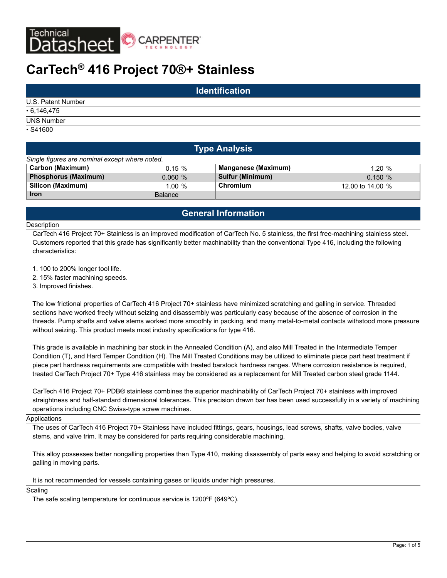

# **CarTech® 416 Project 70®+ Stainless**

| <b>Identification</b> |  |  |  |  |  |  |
|-----------------------|--|--|--|--|--|--|
| U.S. Patent Number    |  |  |  |  |  |  |
| $\cdot$ 6,146,475     |  |  |  |  |  |  |
| <b>UNS Number</b>     |  |  |  |  |  |  |
| $\cdot$ S41600        |  |  |  |  |  |  |

|                                                | <b>Type Analysis</b> |                            |                  |  |  |  |  |  |  |  |  |
|------------------------------------------------|----------------------|----------------------------|------------------|--|--|--|--|--|--|--|--|
| Single figures are nominal except where noted. |                      |                            |                  |  |  |  |  |  |  |  |  |
| <b>Carbon (Maximum)</b>                        | $0.15 \%$            | <b>Manganese (Maximum)</b> | 1.20%            |  |  |  |  |  |  |  |  |
| <b>Phosphorus (Maximum)</b>                    | 0.060%               | <b>Sulfur (Minimum)</b>    | 0.150%           |  |  |  |  |  |  |  |  |
| Silicon (Maximum)                              | $1.00 \%$            | Chromium                   | 12.00 to 14.00 % |  |  |  |  |  |  |  |  |
| <b>Iron</b>                                    | <b>Balance</b>       |                            |                  |  |  |  |  |  |  |  |  |

# **General Information**

#### **Description**

CarTech 416 Project 70+ Stainless is an improved modification of CarTech No. 5 stainless, the first free-machining stainless steel. Customers reported that this grade has significantly better machinability than the conventional Type 416, including the following characteristics:

1. 100 to 200% longer tool life.

2. 15% faster machining speeds.

3. Improved finishes.

The low frictional properties of CarTech 416 Project 70+ stainless have minimized scratching and galling in service. Threaded sections have worked freely without seizing and disassembly was particularly easy because of the absence of corrosion in the threads. Pump shafts and valve stems worked more smoothly in packing, and many metal-to-metal contacts withstood more pressure without seizing. This product meets most industry specifications for type 416.

This grade is available in machining bar stock in the Annealed Condition (A), and also Mill Treated in the Intermediate Temper Condition (T), and Hard Temper Condition (H). The Mill Treated Conditions may be utilized to eliminate piece part heat treatment if piece part hardness requirements are compatible with treated barstock hardness ranges. Where corrosion resistance is required, treated CarTech Project 70+ Type 416 stainless may be considered as a replacement for Mill Treated carbon steel grade 1144.

CarTech 416 Project 70+ PDB® stainless combines the superior machinability of CarTech Project 70+ stainless with improved straightness and half-standard dimensional tolerances. This precision drawn bar has been used successfully in a variety of machining operations including CNC Swiss-type screw machines.

Applications

The uses of CarTech 416 Project 70+ Stainless have included fittings, gears, housings, lead screws, shafts, valve bodies, valve stems, and valve trim. It may be considered for parts requiring considerable machining.

This alloy possesses better nongalling properties than Type 410, making disassembly of parts easy and helping to avoid scratching or galling in moving parts.

It is not recommended for vessels containing gases or liquids under high pressures.

### Scaling

The safe scaling temperature for continuous service is 1200ºF (649ºC).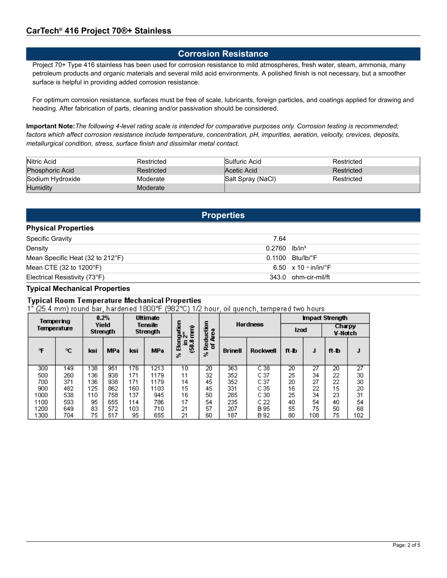# **Corrosion Resistance**

Project 70+ Type 416 stainless has been used for corrosion resistance to mild atmospheres, fresh water, steam, ammonia, many petroleum products and organic materials and several mild acid environments. A polished finish is not necessary, but a smoother surface is helpful in providing added corrosion resistance.

For optimum corrosion resistance, surfaces must be free of scale, lubricants, foreign particles, and coatings applied for drawing and heading. After fabrication of parts, cleaning and/or passivation should be considered.

**Important Note:***The following 4-level rating scale is intended for comparative purposes only. Corrosion testing is recommended; factors which affect corrosion resistance include temperature, concentration, pH, impurities, aeration, velocity, crevices, deposits, metallurgical condition, stress, surface finish and dissimilar metal contact.*

| Nitric Acid      | Restricted | Sulfuric Acid     | Restricted |
|------------------|------------|-------------------|------------|
| Phosphoric Acid  | Restricted | Acetic Acid       | Restricted |
| Sodium Hydroxide | Moderate   | Salt Spray (NaCl) | Restricted |
| <b>Humidity</b>  | Moderate   |                   |            |

# **Properties**

### **Physical Properties**

| <b>Specific Gravity</b>                    | 7.64                                      |
|--------------------------------------------|-------------------------------------------|
| Density                                    | $0.2760$ lb/in <sup>3</sup>               |
| Mean Specific Heat (32 to 212°F)           | $0.1100$ Btu/lb/°F                        |
| Mean CTE $(32 \text{ to } 1200 \degree F)$ | 6.50 $\times$ 10 $\cdot$ in/in/ $\cdot$ F |
| Electrical Resistivity (73°F)              | 343.0 ohm-cir-mil/ft                      |

### **Typical Mechanical Properties**

# **Typical Room Temperature Mechanical Properties**

1" (25.4 mm) round bar, hardened 1800°F (982°C) 1/2 hour, oil quench, tempered two hours

|             | Tempering |                   | 0.2%<br>Ultimate |                     |            |                       |                   |                |                           | <b>Impact Strength</b> |     |                 |     |                          |  |
|-------------|-----------|-------------------|------------------|---------------------|------------|-----------------------|-------------------|----------------|---------------------------|------------------------|-----|-----------------|-----|--------------------------|--|
| Temperature |           | Yield<br>Strength |                  | Tensile<br>Strength |            |                       |                   | ē<br>Ê<br>ON   | 5<br><b>San</b><br>5<br>⋾ | <b>Hardness</b>        |     | <b>Izod</b>     |     | <b>Charpy</b><br>V-Notch |  |
| F           | ۹C        | ksi               | <b>MPa</b>       | ksi                 | <b>MPa</b> | چ<br>۰<br>5<br>▥<br>誤 | ч<br>о<br>훈능<br>誤 | <b>Brinell</b> | <b>Rockwell</b>           | ft-b                   | J   | ft-b            | J   |                          |  |
| 300         | 149       | 138               | 951              | 176                 | 1213       | 10                    | 20                | 363            | C38                       | $\overline{20}$        | 27  | $\overline{20}$ | 27  |                          |  |
| 500         | 260       | 136               | 938              | 171                 | 1179       | 11                    | 32                | 352            | C 37                      | 25                     | 34  | 22              | 30  |                          |  |
| 700         | 371       | 136               | 938              | 171                 | 1179       | 14                    | 45                | 352            | C 37                      | 20                     | 27  | 22              | 30  |                          |  |
| 900         | 482       | 125               | 862              | 160                 | 1103       | 15                    | 45                | 331            | C 35                      | 16                     | 22  | 15              | 20  |                          |  |
| 1000        | 538       | 110               | 758              | 137                 | 945        | 16                    | 50                | 285            | C <sub>30</sub>           | 25                     | 34  | 23              | 31  |                          |  |
| 1100        | 593       | 95                | 655              | 114                 | 786        | 17                    | 54                | 235            | C 22                      | 40                     | 54  | 40              | 54  |                          |  |
| 1200        | 649       | 83                | 572              | 103                 | 710        | 21                    | 57                | 207            | B 95                      | 55                     | 75  | 50              | 68  |                          |  |
| 1300        | 704       | 75                | 517              | 95                  | 655        | 21                    | 60                | 187            | B 92                      | 80                     | 108 | 75              | 102 |                          |  |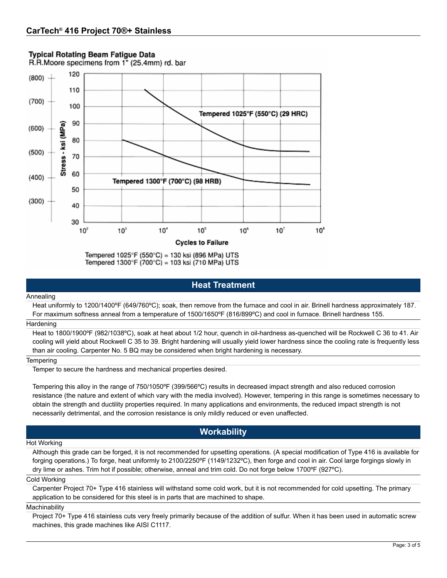# **Typical Rotating Beam Fatique Data**





Tempered 1300°F (700°C) = 103 ksi (710 MPa) UTS

# **Heat Treatment**

#### Annealing

Heat uniformly to 1200/1400ºF (649/760ºC); soak, then remove from the furnace and cool in air. Brinell hardness approximately 187. For maximum softness anneal from a temperature of 1500/1650ºF (816/899ºC) and cool in furnace. Brinell hardness 155.

#### **Hardening**

Heat to 1800/1900ºF (982/1038ºC), soak at heat about 1/2 hour, quench in oil-hardness as-quenched will be Rockwell C 36 to 41. Air cooling will yield about Rockwell C 35 to 39. Bright hardening will usually yield lower hardness since the cooling rate is frequently less than air cooling. Carpenter No. 5 BQ may be considered when bright hardening is necessary.

### **Tempering**

Temper to secure the hardness and mechanical properties desired.

Tempering this alloy in the range of 750/1050ºF (399/566ºC) results in decreased impact strength and also reduced corrosion resistance (the nature and extent of which vary with the media involved). However, tempering in this range is sometimes necessary to obtain the strength and ductility properties required. In many applications and environments, the reduced impact strength is not necessarily detrimental, and the corrosion resistance is only mildly reduced or even unaffected.

# **Workability**

#### Hot Working

Although this grade can be forged, it is not recommended for upsetting operations. (A special modification of Type 416 is available for forging operations.) To forge, heat uniformly to 2100/2250ºF (1149/1232ºC), then forge and cool in air. Cool large forgings slowly in dry lime or ashes. Trim hot if possible; otherwise, anneal and trim cold. Do not forge below 1700ºF (927ºC).

#### Cold Working

Carpenter Project 70+ Type 416 stainless will withstand some cold work, but it is not recommended for cold upsetting. The primary application to be considered for this steel is in parts that are machined to shape.

#### Machinability

Project 70+ Type 416 stainless cuts very freely primarily because of the addition of sulfur. When it has been used in automatic screw machines, this grade machines like AISI C1117.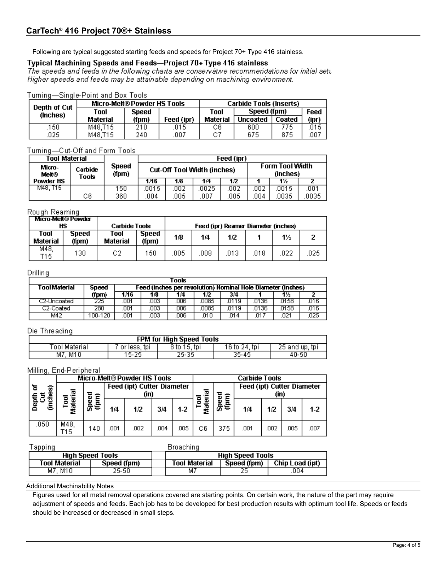Following are typical suggested starting feeds and speeds for Project 70+ Type 416 stainless.

# Typical Machining Speeds and Feeds-Project 70+ Type 416 stainless

The speeds and feeds in the following charts are conservative recommendations for initial setu Higher speeds and feeds may be attainable depending on machining environment.

### Turning-Single-Point and Box Tools

| Depth of Cut | Micro-Melt® Powder HS Tools |       | Carbide Tools (Inserts) |          |                 |        |       |  |
|--------------|-----------------------------|-------|-------------------------|----------|-----------------|--------|-------|--|
| (Inches)     | Tool                        |       | <b>Speed</b>            |          | Speed (fpm)     | Feed   |       |  |
|              | Material                    | (fpm) | Feed (ipr)              | Material | <b>Uncoated</b> | Coated | (ipr) |  |
| 150          | M48.T15                     | 210   | 015                     | CБ       | 600             | 775.   | 015   |  |
| 025          | M48.T15                     | 240   | 007                     |          | 675             | 875    | 007   |  |

# Turning-Cut-Off and Form Tools

| Tool Material   |                  |                       | Feed (ipr)                         |      |       |      |                                    |       |      |  |  |  |
|-----------------|------------------|-----------------------|------------------------------------|------|-------|------|------------------------------------|-------|------|--|--|--|
| Micro-<br>Melt® | Carbide<br>Tools | <b>Speed</b><br>(fpm) | <b>Cut-Off Tool Width (inches)</b> |      |       |      | <b>Form Tool Width</b><br>(inches) |       |      |  |  |  |
| Powder HS       |                  |                       | 1/16                               | 1/8  | 1/4   | 1/2  |                                    | 1½    |      |  |  |  |
| M48. T15        |                  | 150                   | .0015                              | .002 | .0025 | .002 | 002                                | .0015 | .001 |  |  |  |
|                 | C6               | 360                   | .004                               | .005 | 007   | 005  | .004                               | .0035 | 0035 |  |  |  |

### Rough Reaming

|                  | Micro-Melt® Powder<br>НS<br><b>Carbide Tools</b> |                  |                       |      |      |      | Feed (ipr) Reamer Diameter (inches) |       |      |
|------------------|--------------------------------------------------|------------------|-----------------------|------|------|------|-------------------------------------|-------|------|
| Tool<br>Material | <b>Speed</b><br>(fpm)                            | Tool<br>Material | <b>Speed</b><br>(fpm) | 1/8  | 1/4  | 1/2  |                                     | $1\%$ |      |
| M48.<br>T15      | 130                                              | C2               | 150                   | .005 | .008 | .013 | .018                                | .022  | .025 |

### Drilling

| Tools        |              |      |                                                             |     |      |      |      |      |      |  |  |
|--------------|--------------|------|-------------------------------------------------------------|-----|------|------|------|------|------|--|--|
| ToolMaterial | <b>Speed</b> |      | Feed (inches per revolution) Nominal Hole Diameter (inches) |     |      |      |      |      |      |  |  |
|              | (fpm)        | 1/16 | 1/8                                                         | 1/4 | 1/2  | 3/4  |      | 1½   |      |  |  |
| C2-Uncoated  | 725.         | .001 | 003                                                         | 006 | 0085 | 0119 | 0136 | 0158 | 016  |  |  |
| C2-Coated    | 280          | .001 | 003                                                         | 006 | 0085 | 0119 | 0136 | 0158 | .016 |  |  |
| M42          | 100-120      | .001 | 003                                                         | 006 | U1 U | 014  | J1.  |      | 025  |  |  |

# Die Threading

| FPM for High Speed Tools |                 |              |               |                   |  |  |  |  |  |
|--------------------------|-----------------|--------------|---------------|-------------------|--|--|--|--|--|
| Tool Material            | or less.<br>tpi | 8 to 15, tpi | 16 to 24, tpi | 25 and up.<br>tpi |  |  |  |  |  |
| M7.<br>M10               | $5 - 25$        | 25-35        | 35-45         | 40-50             |  |  |  |  |  |

### Milling, End-Peripheral

|      |             |                                              |     | <b>Micro-Melt® Powder HS Tools</b> |     |       | Carbide Tools |     |                                   |      |      |       |
|------|-------------|----------------------------------------------|-----|------------------------------------|-----|-------|---------------|-----|-----------------------------------|------|------|-------|
| ଜ    |             | Feed (ipt) Cutter Diameter<br>(in)<br>ਠ<br>Ê |     |                                    |     |       |               |     | <b>Feed (ipt) Cutter Diameter</b> | (in) |      |       |
|      | ᆱ           | ā<br>ගී<br>⋸                                 | 1/4 | 1/2                                | 3/4 | $1-2$ |               | ೫€  | 1/4                               | 1/2  | 3/4  | $1-2$ |
| .050 | M48,<br>T15 | 140                                          | 001 | .002                               | 004 | .005  | Сß            | 375 | .001                              | .002 | .005 | .007  |

#### . . . . . . .  $\overline{r}$

| apping        |                         | Broaching               |             |                 |  |  |  |
|---------------|-------------------------|-------------------------|-------------|-----------------|--|--|--|
|               | <b>High Speed Tools</b> | <b>High Speed Tools</b> |             |                 |  |  |  |
| Tool Material | Speed (fpm)             | <b>Tool Material</b>    | Speed (fpm) | Chip Load (ipt) |  |  |  |
| M7. M10       | 25-50                   | M7                      | 25          | 004             |  |  |  |

### Additional Machinability Notes

Figures used for all metal removal operations covered are starting points. On certain work, the nature of the part may require adjustment of speeds and feeds. Each job has to be developed for best production results with optimum tool life. Speeds or feeds should be increased or decreased in small steps.